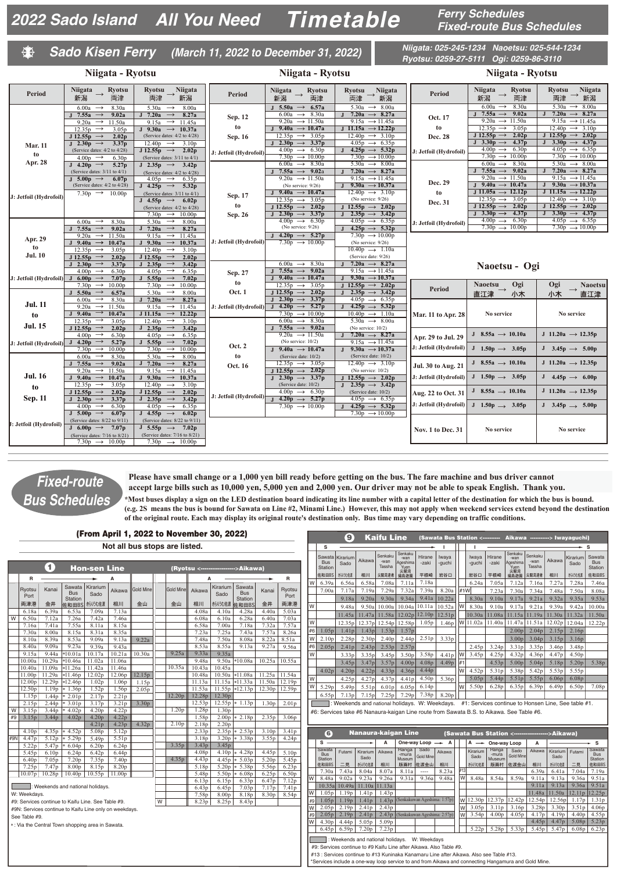**Fixed-route Bus Schedules**

## **Sado Kisen Ferry (March 11, 2022 to December 31, 2022)**

**Niigata: 025-245-1234 Naoetsu: 025-544-1234 Ryotsu: 0259-27-5111 Ogi: 0259-86-3110**

|                                                        | Niigata - Ryotsu                                                                                                          |                                                                                                                                     |                         | Niigata - Ryotsu                                                                                               |                                                                                           | Niigata - Ryotsu                             |                                                                                           |                                                                                         |  |  |  |  |
|--------------------------------------------------------|---------------------------------------------------------------------------------------------------------------------------|-------------------------------------------------------------------------------------------------------------------------------------|-------------------------|----------------------------------------------------------------------------------------------------------------|-------------------------------------------------------------------------------------------|----------------------------------------------|-------------------------------------------------------------------------------------------|-----------------------------------------------------------------------------------------|--|--|--|--|
| <b>Period</b>                                          | <b>Niigata</b><br><b>Ryotsu</b><br>$\longrightarrow$<br>新潟<br>両津                                                          | <b>Niigata</b><br><b>Ryotsu</b><br>→ 新潟<br>両津                                                                                       | <b>Period</b>           | <b>Ryotsu</b><br>Niigata<br>新潟<br>両津                                                                           | <b>Ryotsu</b><br><b>Niigata</b><br>→ 新潟<br>両津                                             | <b>Period</b>                                | <b>Ryotsu</b><br><b>Niigata</b><br>新潟<br>両津                                               | Ryotsu<br><b>Niigata</b><br>$\rightarrow$<br>新潟<br>両津                                   |  |  |  |  |
|                                                        | $6.00a \rightarrow$<br>8.30a<br>J 7.55a $\rightarrow$<br>9.02a                                                            | 5.30a<br>$\rightarrow$<br>8.00a<br>J 7.20a $\rightarrow$<br>8.27a                                                                   | Sep. 12                 | J 5.50a $\rightarrow$ 6.57a<br>$6.00a \rightarrow 8.30a$                                                       | $5.30a \rightarrow 8.00a$<br>7.20a $\rightarrow$ 8.27a                                    | Oct. 17                                      | $6.00a \rightarrow 8.30a$<br>J 7.55a $\rightarrow$ 9.02a<br>9.20a $\rightarrow$ 11.50a    | $5.30a \rightarrow 8.00a$<br>7.20a $\rightarrow$ 8.27a<br>9.15a $\rightarrow$ 11.45a    |  |  |  |  |
|                                                        | 9.20a $\rightarrow$ 11.50a<br>$12.35p \rightarrow$<br>3.05p<br>J 12.55p $\rightarrow$<br>2.02p                            | 9.15a $\rightarrow$ 11.45a<br>J 9.30a $\rightarrow$ 10.37a<br>(Service dates: $4/2$ to $4/28$ )                                     | to<br>Sep. 16           | 9.20a $\rightarrow$ 11.50a<br>J 9.40a $\rightarrow$ 10.47a<br>$12.35p \rightarrow 3.05p$                       | 9.15a $\rightarrow$ 11.45a<br>J 11.15a $\rightarrow$ 12.22p<br>$12.40p \rightarrow 3.10p$ | to                                           | $12.35p \rightarrow 3.05p$<br>J 12.55p $\rightarrow$ 2.02p                                | $12.40p \rightarrow 3.10p$<br>J 12.55p $\rightarrow$ 2.02p                              |  |  |  |  |
| <b>Mar. 11</b>                                         | J 2.30p $\rightarrow$<br>3.37p<br>(Service dates: 4/2 to 4/28)                                                            | $12.40p \rightarrow 3.10p$<br>J 12.55p $\rightarrow$<br>2.02 <sub>p</sub>                                                           | J: Jetfoil (Hydrofoil)  | J 2.30p $\rightarrow$ 3.37p<br>$4.00p \rightarrow 6.30p$                                                       | $4.05p \rightarrow 6.35p$<br>$4.25p \rightarrow 5.32p$                                    | Dec. 28<br>J: Jetfoil (Hydrofoil)            | J 3.30p $\rightarrow$ 4.37p<br>$4.00p \rightarrow 6.30p$                                  | J 3.30p $\rightarrow$ 4.37p<br>$4.05p \rightarrow 6.35p$                                |  |  |  |  |
| to<br>Apr. 28                                          | $4.00D \rightarrow$<br>6.30 <sub>p</sub><br>J 4.20p $\rightarrow$ 5.27p                                                   | (Service dates: $3/11$ to $4/1$ )<br>J 2.35p $\rightarrow$ 3.42p                                                                    |                         | 7.30 $p \rightarrow 10.00p$<br>$6.00a \rightarrow 8.30a$                                                       | $7.30p \rightarrow 10.00p$<br>$5.30a \rightarrow 8.00a$                                   |                                              | 7.30 $p \rightarrow 10.00p$<br>$6.00a \rightarrow 8.30a$                                  | 7.30 $p \rightarrow 10.00p$<br>5.30a $\rightarrow$ 8.00a                                |  |  |  |  |
|                                                        | (Service dates: $3/11$ to $4/1$ )<br>J 5.00p $\rightarrow$<br>6.07p<br>(Service dates: $4/2$ to $4/28$ )                  | (Service dates: 4/2 to 4/28)<br>$4.05p \rightarrow$<br>6.35p                                                                        |                         | J 7.55a $\rightarrow$ 9.02a<br>9.20a $\rightarrow$ 11.50a<br>(No service: 9/26)                                | 7.20a $\rightarrow$ 8.27a<br>9.15a $\rightarrow$ 11.45a<br>9.30a $\rightarrow$ 10.37a     | Dec. 29                                      | J 7.55a $\rightarrow$ 9.02a<br>9.20a $\rightarrow$ 11.50a<br>J 9.40a $\rightarrow$ 10.47a | 7.20a $\rightarrow$ 8.27a<br>$9.15a \rightarrow 11.45a$<br>J 9.30a $\rightarrow$ 10.37a |  |  |  |  |
| J: Jetfoil (Hydrofoil)                                 | 7.30p $\rightarrow$ 10.00p                                                                                                | J 4.25p $\rightarrow$<br>5.32 <sub>p</sub><br>(Service dates: $3/11$ to $4/1$ )<br>J 4.55p $\rightarrow$ 6.02p                      | Sep. 17                 | J 9.40a $\rightarrow$ 10.47a<br>$12.35p \rightarrow 3.05p$                                                     | $12.40p \rightarrow 3.10p$<br>(No service: $9/26$ )                                       | to<br>Dec. 31                                | J 11.05a $\rightarrow$ 12.12p<br>$12.35p \rightarrow 3.05p$                               | J 11.15a $\rightarrow$ 12.22p<br>$12.40p \rightarrow 3.10p$                             |  |  |  |  |
|                                                        |                                                                                                                           | (Service dates: $4/2$ to $4/28$ )<br>7.30 $p \rightarrow 10.00p$                                                                    | to<br>Sep. 26           | J 12.55p $\rightarrow$ 2.02p<br>J 2.30p $\rightarrow$ 3.37p                                                    | J 12.55p $\rightarrow$ 2.02p<br>$2.35p \rightarrow 3.42p$                                 |                                              | J 12.55p $\rightarrow$ 2.02p<br>J 3.30p $\rightarrow$ 4.37p                               | J 12.55p $\rightarrow$ 2.02p<br>J 3.30p $\rightarrow$ 4.37p                             |  |  |  |  |
|                                                        | 8.30a<br>$6.00a \rightarrow$<br>J 7.55a $\rightarrow$<br>9.02a<br>9.20a $\rightarrow$ 11.50a                              | 5.30a $\rightarrow$<br>8.00a<br>J 7.20a $\rightarrow$<br>8.27a<br>9.15a<br>$\rightarrow$ 11.45a                                     |                         | $4.00p \rightarrow 6.30p$<br>(No service: $9/26$ )<br>J 4.20p $\rightarrow$ 5.27p                              | $4.05p \rightarrow 6.35p$<br>$4.25p \rightarrow 5.32p$<br>7.30 $p \rightarrow 10.00p$     | J: Jetfoil (Hydrofoil)                       | $4.00p \rightarrow 6.30p$<br>$7.30p \rightarrow 10.00p$                                   | $4.05p \rightarrow 6.35p$<br>7.30 $p \rightarrow 10.00p$                                |  |  |  |  |
| Apr. 29<br>to                                          | J 9.40a $\rightarrow$ 10.47a<br>$12.35p \rightarrow$<br>3.05 <sub>p</sub>                                                 | J 9.30a $\rightarrow$ 10.37a<br>$12.40p \rightarrow$<br>3.10 <sub>p</sub>                                                           | J: Jetfoil (Hydrofoil)  | 7.30 $p \rightarrow 10.00p$                                                                                    | (No service: 9/26)<br>$10.40p \rightarrow 1.10a$                                          |                                              |                                                                                           |                                                                                         |  |  |  |  |
| <b>Jul. 10</b>                                         | J 12.55p $\rightarrow$<br>2.02p<br>J 2.30p $\rightarrow$<br>3.37 <sub>p</sub>                                             | $J 12.55p \rightarrow$<br>2.02p<br>J 2.35p $\rightarrow$<br>3.42 <sub>p</sub>                                                       |                         | $6.00a \rightarrow 8.30a$                                                                                      | (Service date: 9/26)<br>7.20a $\rightarrow$ 8.27a                                         |                                              | Naoetsu - Ogi                                                                             |                                                                                         |  |  |  |  |
| <b>J:</b> Jetfoil (Hydrofoil) $J$ 6.00 $p \rightarrow$ | 4.00 <sub>p</sub><br>$\rightarrow$<br>6.30 <sub>p</sub><br>7.07 <sub>p</sub><br>$7.30p \rightarrow$<br>10.00 <sub>p</sub> | $4.05p \rightarrow$<br>6.35 <sub>p</sub><br>J 5.55p $\rightarrow$<br>7.02 <sub>p</sub><br>$7.30p \rightarrow$<br>10.00 <sub>p</sub> | Sep. 27<br>to           | J 7.55a $\rightarrow$ 9.02a<br>J 9.40a $\rightarrow$ 10.47a<br>$12.35p \rightarrow 3.05p$                      | 9.15a $\rightarrow$ 11.45a<br>9.30a $\rightarrow$ 10.37a<br>J 12.55p $\rightarrow$ 2.02p  |                                              | Ogi<br><b>Naoetsu</b>                                                                     | <b>Naoetsu</b><br>Ogi                                                                   |  |  |  |  |
| <b>Jul. 11</b>                                         | $J$ 5.50a $\rightarrow$<br>6.57a<br>$6.00a \rightarrow$<br>8.30a                                                          | $\longrightarrow$<br>5.30a<br>8.00a<br>J 7.20a $\rightarrow$<br>8.27a                                                               | <b>Oct. 1</b>           | J 12.55p $\rightarrow$ 2.02p<br>J 2.30p $\rightarrow$ 3.37p                                                    | $2.35p \rightarrow 3.42p$<br>$4.05p \rightarrow 6.35p$                                    | <b>Period</b>                                | 小木<br>直江津                                                                                 | 小木<br>直江津                                                                               |  |  |  |  |
| to                                                     | 9.20a $\rightarrow$ 11.50a<br>$J$ 9.40a $\rightarrow$<br>10.47a<br>$12.35p \rightarrow$<br>3.05p                          | 9.15a<br>$\rightarrow$ 11.45a<br>J 11.15a $\rightarrow$ 12.22p<br>$12.40p \rightarrow$<br>3.10 <sub>p</sub>                         |                         | J: Jetfoil (Hydrofoil) J $4.20p \rightarrow 5.27p$<br>7.30 $p \rightarrow 10.00p$<br>$6.00a \rightarrow 8.30a$ | J $4.25p \rightarrow 5.32p$<br>$10.40p \rightarrow 1.10a$<br>5.30a $\rightarrow$ 8.00a    | Mar. 11 to Apr. 28                           | No service                                                                                | No service                                                                              |  |  |  |  |
| <b>Jul. 15</b>                                         | $\longrightarrow$<br>$J$ 12.55 $p$<br>2.02 <sub>p</sub><br>$4.00p \rightarrow$<br>6.30 <sub>p</sub>                       | J 2.35p $\rightarrow$<br>3.42p<br>$4.05p \rightarrow$<br>6.35 <sub>p</sub>                                                          |                         | J 7.55a $\rightarrow$ 9.02a<br>9.20a $\rightarrow$ 11.50a                                                      | (No service: $10/2$ )<br>7.20a $\rightarrow$ 8.27a                                        | Apr. 29 to Jul. 29                           | J 8.55a $\rightarrow$ 10.10a                                                              | J 11.20a $\rightarrow$ 12.35p                                                           |  |  |  |  |
| <b>J: Jetfoil (Hydrofoil)</b>                          | J 4.20p $\rightarrow$<br>5.27p<br>$7.30p \rightarrow$<br>10.00 <sub>p</sub>                                               | J 5.55p $\rightarrow$<br>7.02 <sub>p</sub><br>$\rightarrow$<br>10.00 <sub>p</sub><br>7.30 <sub>p</sub>                              | <b>Oct. 2</b>           | (No service: $10/2$ )<br>J 9.40a $\rightarrow$ 10.47a                                                          | 9.15a $\rightarrow$ 11.45a<br>9.30a $\rightarrow$ 10.37a                                  | J: Jetfoil (Hydrofoil)                       | J $1.50p \rightarrow 3.05p$                                                               | J 3.45p $\rightarrow$ 5.00p                                                             |  |  |  |  |
|                                                        | 6.00a $\rightarrow$<br>8.30a<br>J 7.55a $\rightarrow$<br>9.02a<br>9.20a $\rightarrow$ 11.50a                              | $\longrightarrow$<br>5.30a<br>8.00a<br>J 7.20a $\rightarrow$<br>8.27a<br>9.15a $\rightarrow$ 11.45a                                 | to<br>Oct. 16           | (Service date: 10/2)<br>$12.35p \rightarrow 3.05p$<br>J 12.55p $\rightarrow$ 2.02p                             | (Service date: 10/2)<br>$12.40p \rightarrow 3.10p$<br>(No service: $10/2$ )               | <b>Jul. 30 to Aug. 21</b>                    | J 8.55a $\rightarrow$ 10.10a                                                              | J 11.20a $\rightarrow$ 12.35p                                                           |  |  |  |  |
| <b>Jul. 16</b><br>to                                   | J 9.40a $\rightarrow$ 10.47a<br>$12.35p \rightarrow$<br>3.05p                                                             | J 9.30a $\rightarrow$ 10.37a<br>3.10 <sub>p</sub><br>$12.40p \rightarrow$                                                           |                         | J 2.30p $\rightarrow$ 3.37p<br>(Service date: 10/2)                                                            | J 12.55p $\rightarrow$ 2.02p<br>$2.35p \rightarrow 3.42p$                                 | J: Jetfoil (Hydrofoil)                       | J 1.50p $\rightarrow$ 3.05p                                                               | J 4.45p $\rightarrow$ 6.00p                                                             |  |  |  |  |
| <b>Sep. 11</b>                                         | J 12.55p $\rightarrow$<br>2.02p<br>J 2.30p $\rightarrow$<br>3.37 <sub>p</sub>                                             | $J 12.55p \rightarrow$<br>2.02p<br>J 2.35p $\rightarrow$<br>3.42 <sub>p</sub>                                                       | J: Jetfoil (Hydrofoil)† | $4.00p \rightarrow 6.30p$<br>J 4.20p $\rightarrow$ 5.27p                                                       | (Service date: 10/2)<br>$4.05p \rightarrow 6.35p$                                         | Aug. 22 to Oct. 31<br>J: Jetfoil (Hydrofoil) | J 8.55a $\rightarrow$ 10.10a                                                              | J 11.20a $\rightarrow$ 12.35p                                                           |  |  |  |  |
|                                                        | $4.00p \rightarrow$<br>6.30 <sub>p</sub><br>J 5.00p $\rightarrow$<br>6.07p<br>(Service dates: 8/22 to 9/11)               | $4.05p \rightarrow$<br>6.35p<br>J 4.55p $\rightarrow$<br>6.02 <sub>p</sub><br>(Service dates: $8/22$ to $9/11$ )                    |                         | 7.30 $p \rightarrow 10.00p$                                                                                    | $4.25p \rightarrow 5.32p$<br>7.30 $p \rightarrow 10.00p$                                  |                                              | J 1.50p $\rightarrow$ 3.05p                                                               | J 3.45p $\rightarrow$ 5.00p                                                             |  |  |  |  |
| <b>J: Jetfoil (Hydrofoil)</b>                          | J 6.00p $\rightarrow$ 7.07p<br>(Service dates: 7/16 to 8/21)                                                              | $J 5.55p \rightarrow 7.02p$<br>(Service dates: $7/16$ to $8/21$ )                                                                   |                         |                                                                                                                |                                                                                           | <b>Nov. 1 to Dec. 31</b>                     | No service                                                                                | No service                                                                              |  |  |  |  |
|                                                        |                                                                                                                           |                                                                                                                                     |                         |                                                                                                                |                                                                                           |                                              |                                                                                           |                                                                                         |  |  |  |  |

## **Fixed-route Bus Schedules**

0

**Please have small change or a 1,000 yen bill ready before getting on the bus. The fare machine and bus driver cannot accept large bills such as 10,000 yen, 5,000 yen and 2,000 yen. Our driver may not be able to speak English. Thank you.** 

**\*Most buses display a sign on the LED destination board indicating its line number with a capital letter of the destination for which the bus is bound. (e.g. 2S means the bus is bound for Sawata on Line #2, Minami Line.) However, this may not apply when weekend services extend beyond the destination of the original route. Each may display its original route's destination only. Bus time may vary depending on traffic conditions.**

## (From April 1, 2022 to November 30, 2022)

**Not all bus stops are listed.**

|     |                   | $\hat{\mathbf{t}}$ |                                                        | <b>Hon-sen Line</b> |                   |                   |   |                   |                   |                    | (Ryotsu <----------------->Aikawa)     |                   |                   |
|-----|-------------------|--------------------|--------------------------------------------------------|---------------------|-------------------|-------------------|---|-------------------|-------------------|--------------------|----------------------------------------|-------------------|-------------------|
|     | R                 |                    |                                                        |                     | Α                 |                   |   |                   | Α                 |                    |                                        |                   | R                 |
|     | Ryotsu<br>Port    | Kanai              | Sawata  <br><b>Bus</b><br><b>Station</b>               | Kirarium<br>Sado    | Aikawa            | <b>Gold Mine</b>  |   | <b>Gold Mine</b>  | Aikawa            | Kirarium<br>Sado   | Sawata<br><b>Bus</b><br><b>Station</b> | Kanai             | Ryotsu<br>Port    |
|     | 両津港               | 金井                 | 佐和田BS                                                  | きらりうむ佐渡             | 相川                | 金山                |   | 金山                | 相川                |                    | きりりむ佐渡 佐和田BS                           | 金井                | 両津港               |
|     | 6.18a             | 6.39a              | 6.53a                                                  | 7.09a               | 7.13a             |                   |   |                   | 4.08a             | 4.10a              | 4.28a                                  | 4.40a             | 5.03a             |
| W   | 6.50a             | 7.12a              | 7.26a                                                  | 7.42a               | 7.46a             |                   |   |                   | 6.08a             | 6.10a              | 6.28a                                  | 6.40a             | 7.03a             |
|     | 7.16a             | 7.41a              | 7.55a                                                  | 8.11a               | 8.15a             |                   |   |                   | 6.58a             | 7.00a              | 7.18a                                  | 7.32a             | 7.57a             |
|     | 7.30a             | 8.00a              | 8.15a                                                  | 8.31a               | 8.35a             |                   |   |                   | 7.23a             | 7.25a              | 7.43a                                  | 7.57a             | 8.26a             |
|     | 8.10a             | 8.39a              | 8.53a                                                  | 9.09a               | 9.13a             | 9.22a             |   |                   | 7.48a             | 7.50a              | 8.08a                                  | 8.22a             | 8.51a             |
|     | 8.40a             | 9.09a              | 9.23a                                                  | 9.39a               | 9.43a             |                   |   |                   | 8.53a             | 8.55a              | 9.13a                                  | 9.27a             | 9.56a             |
|     | 9.15a             | 9.44a              | $*10.01a$                                              | 10.17a              | 10.21a            | 10.30a            |   | 9.25a             | 9.33a             | 9.35a              |                                        |                   |                   |
|     | 10.00a            | 10.29a             | $*10.46a$                                              | 11.02a              | 11.06a            |                   |   |                   | 9.48a             |                    | $9.50a$ *10.08a                        | 10.25a            | 10.55a            |
|     | 10.40a            | 11.09a             | $*11.26a$                                              | 11.42a              | 11.46a            |                   |   | 10.35a            | 10.43a            | 10.45a             |                                        |                   |                   |
|     | 11.00p            | 11.29a             | $*11.46p$                                              | 12.02p              | 12.06p            | 12.15p            |   |                   | 10.48a            |                    | $10.50a$ *11.08a                       | 11.25a            | 11.54a            |
|     | 12.00p            |                    | $12.29p$ *12.46p                                       | 1.02p               | 1.06 <sub>p</sub> | 1.15p             |   |                   | 11.13a            |                    | $11.15a$ *11.33a                       | 11.50a            | 12.19p            |
|     | 12.50p            | 1.19p              | $* 1.36p$                                              | 1.52p               | 1.56p             | 2.05 <sub>p</sub> |   |                   | 11.53a            |                    | $11.55p$ *12.13p                       | 12.30p            | 12.59p            |
|     | 1.15p             | 1.44 <sub>p</sub>  | $* 2.01p$                                              | 2.17p               | 2.21p             |                   |   | 12.20p            | 12.28p            | 12.30 <sub>p</sub> |                                        |                   |                   |
|     | 2.15p             | 2.44 <sub>p</sub>  | $*3.01p$                                               | 3.17p               | 3.21p             | 3.30 <sub>p</sub> |   |                   | 12.53p            |                    | $12.55p \div 1.13p$                    | 1.30 <sub>p</sub> | 2.01p             |
| W   | 3.15p             |                    | 3.44p $*$ 4.02p                                        | 4.20 <sub>p</sub>   | 4.22p             |                   |   | 1.20 <sub>p</sub> | 1.28p             | 1.30 <sub>p</sub>  |                                        |                   |                   |
| #9  | 3.15p             | 3.44 <sub>p</sub>  | 4.02p                                                  | 4.20 <sub>p</sub>   | 4.22 <sub>p</sub> |                   |   |                   | 1.58p             |                    | $2.00p$ * 2.18p                        | 2.35p             | 3.06 <sub>p</sub> |
|     |                   |                    |                                                        | 4.21 <sub>p</sub>   | 4.23p             | 4.32p             |   | 2.10 <sub>p</sub> | 2.18p             | 2.20 <sub>p</sub>  |                                        |                   |                   |
|     | 4.10 <sub>p</sub> | 4.35p              | $* 4.52p$                                              | 5.08p               | 5.12p             |                   |   |                   | 2.33p             |                    | $2.35p$ * 2.53p                        | 3.10 <sub>p</sub> | 3.41p             |
| #9N | 4.47p             | 5.12p              | $* 5.29p$                                              | 5.49 <sub>p</sub>   | 5.51p             |                   |   |                   | 3.18p             |                    | $3.20p$ $*$ 3.38p                      | 3.55p             | 4.24 <sub>p</sub> |
|     | 5.22p             |                    | $5.47p$ $* 6.04p$                                      | 6.20 <sub>p</sub>   | 6.24p             |                   |   | 3.35p             | 3.43p             | 3.45p              |                                        |                   |                   |
|     | 5.45p             | 6.10 <sub>p</sub>  | 6.24p                                                  | 6.42p               | 6.44p             |                   |   |                   | 4.08 <sub>p</sub> |                    | $4.10p$ * 4.28p                        | 4.45p             | 5.10 <sub>p</sub> |
|     | 6.40 <sub>p</sub> | 7.05 <sub>p</sub>  | 7.20 <sub>p</sub>                                      | 7.35p               | 7.40 <sub>p</sub> |                   |   | 4.35p             | 4.43p             |                    | $4.45p$ $*$ 5.03p                      | 5.20 <sub>p</sub> | 5.45p             |
|     | 7.25p             | 7.47p              | 8.00p                                                  | 8.15p               | 8.20p             |                   |   |                   | 5.18p             |                    | $5.20p$ $*$ 5.38p                      | 5.56p             | 6.23p             |
|     | 10.07p            | 10.28p             | 10.40p                                                 | 10.55p              | 11.00p            |                   |   |                   | 5.48p             |                    | $5.50p$ $* 6.08p$                      | 6.25p             | 6.50 <sub>p</sub> |
|     |                   |                    |                                                        |                     |                   |                   |   |                   | 6.13p             | 6.15p              | 6.33p                                  | 6.47p             | 7.12p             |
|     |                   |                    | : Weekends and national holidays.                      |                     |                   |                   |   |                   | 6.43p             | 6.45p              | 7.03p                                  | 7.17p             | 7.41p             |
|     | W: Weekdays.      |                    |                                                        |                     |                   |                   |   |                   | 7.58p             | 8.00 <sub>p</sub>  | 8.18p                                  | 8.30p             | 8.54p             |
|     |                   |                    | #9: Services continue to Kaifu Line. See Table #9.     |                     |                   |                   | W |                   | 8.23p             | 8.25p              | 8.43p                                  |                   |                   |
|     |                   |                    | #9N: Services continue to Kaifu Line only on weekdays. |                     |                   |                   |   |                   |                   |                    |                                        |                   |                   |
|     | See Table #9.     |                    |                                                        |                     |                   |                   |   |                   |                   |                    |                                        |                   |                   |
|     |                   |                    | *: Via the Central Town shopping area in Sawata.       |                     |                   |                   |   |                   |                   |                    |                                        |                   |                   |
|     |                   |                    |                                                        |                     |                   |                   |   |                   |                   |                    |                                        |                   |                   |
|     |                   |                    |                                                        |                     |                   |                   |   |                   |                   |                    |                                        |                   |                   |
|     |                   |                    |                                                        |                     |                   |                   |   |                   |                   |                    |                                        |                   |                   |

|    |                       | $\mathbf{9}$            |                   | <b>Kaifu Line</b>         |                                            |                    | (Sawata Bus Station <----------<br>Aikawa ----------> Iwayaguchi)                                     |        |                   |                   |                                            |                           |                   |                   |                                        |  |  |  |
|----|-----------------------|-------------------------|-------------------|---------------------------|--------------------------------------------|--------------------|-------------------------------------------------------------------------------------------------------|--------|-------------------|-------------------|--------------------------------------------|---------------------------|-------------------|-------------------|----------------------------------------|--|--|--|
|    | s                     |                         |                   |                           |                                            |                    |                                                                                                       |        | ı                 |                   | - S                                        |                           |                   |                   |                                        |  |  |  |
|    | <b>Bus</b><br>Station | Sawata Kirarium<br>Sado | Aikawa            | Senkaku<br>-wan<br>Tassha | Senkaku<br>-wan<br>Ageshima<br>Yuen<br>尖閣湾 | Hirane<br>-zaki    | Iwaya<br>-quchi                                                                                       |        | Iwaya<br>-quchi   | Hirane<br>-zaki   | Senkaku<br>-wan<br>Ageshima<br>Yuen<br>尖閣湾 | Senkaku<br>-wan<br>Tassha | Aikawa            | Kirarium<br>Sado  | Sawata<br><b>Bus</b><br><b>Station</b> |  |  |  |
|    | 佐和田BS                 | おりむ佐渡                   | 相川                | 尖閣湾達者                     | 揚島遊園                                       | 平根崎                | 岩谷口                                                                                                   |        | 岩谷口               | 平根崎               | 揚島遊園                                       | 尖閣湾達者                     | 相川                | きりりむ佐渡            | 佐和田BS                                  |  |  |  |
| W  | 6.39a                 | 6.56a                   | 6.58a             | 7.08a                     | 7.11a                                      | 7.18a              |                                                                                                       |        | 6.24a             | 7.05a             | 7.12a                                      | 7.16a                     | 7.27a             | 7.28a             | 7.46a                                  |  |  |  |
|    | 7.00a                 | 7.17a                   | 7.19a             | 7.29a                     | 7.32a                                      | 7.39a              | 8.20a                                                                                                 | #1 $W$ |                   | 7.23a             | 7.30a                                      | 7.34a                     | 7.48a             | 7.50a             | 8.08a                                  |  |  |  |
|    |                       | 9.18a                   | 9.20a             | 9.30a                     | 9.34a                                      | 9.41a              | 10.22a                                                                                                |        | 8.30a             | 9.10a             | 9.17a                                      | 9.21a                     | 9.32a             | 9.35a             | 9.53a                                  |  |  |  |
| W  |                       | 9.48a                   | 9.50a             | 10.00a                    | 10.04a                                     | 10.11a             | 10.52a                                                                                                | W      | 8.30a             | 9.10a             | 9.17a                                      | 9.21a                     | 9.39a             | 9.42a             | 10.00a                                 |  |  |  |
|    |                       | 11.45a                  | 11.47a            | 11.58a                    | 12.02p                                     | 12.10 <sub>p</sub> | 12.51p                                                                                                |        | 10.30a            | 11.08a            | 11.15a                                     | 11.19a                    | 11.30a            | 11.32a            | 11.50a                                 |  |  |  |
| W  |                       | 12.35p                  | 12.37p            | 12.54p                    | 12.58p                                     | 1.05p              | 1.46p                                                                                                 | W      | 11.02a            | 11.40a            | 11.47a                                     | 11.51a                    | 12.02p            | 12.04a            | 12.22p                                 |  |  |  |
| #6 | 1.05p                 | 1.41p                   | 1.43p             | 1.53p                     | 1.57p                                      |                    |                                                                                                       |        |                   |                   | 2.00 <sub>p</sub>                          | 2.04 <sub>p</sub>         | 2.15p             | 2.16p             |                                        |  |  |  |
| W  | 2.10p                 | 2.28p                   | 2.30 <sub>p</sub> | 2.40 <sub>p</sub>         | 2.44p                                      | 2.51p              | 3.33p                                                                                                 |        |                   |                   | 3.00 <sub>p</sub>                          | 3.04 <sub>p</sub>         | 3.15p             | 3.16p             |                                        |  |  |  |
| #6 | 2.05p                 | 2.41 <sub>p</sub>       | 2.43p             | 2.53p                     | 2.57p                                      |                    |                                                                                                       |        | 2.45p             | 3.24p             | 3.31 <sub>p</sub>                          | 3.35 <sub>p</sub>         | 3.46p             | 3.48p             |                                        |  |  |  |
| W  |                       | 3.33p                   | 3.35p             | 3.45p                     | 3.50p                                      | 3.58p              | 4.41p                                                                                                 | W      | 3.45p             | 4.25p             | 4.32p                                      | 4.36p                     | 4.47p             | 4.50p             |                                        |  |  |  |
|    |                       | 3.45p                   | 3.47p             | 3.57p                     | 4.00 <sub>p</sub>                          | 4.08 <sub>p</sub>  | 4.49p                                                                                                 | #1     |                   | 4.53 <sub>p</sub> | 5.00 <sub>p</sub>                          | 5.04p                     | 5.18p             | 5.20 <sub>p</sub> | 5.38p                                  |  |  |  |
|    | 4.02p                 | 4.20p                   | 4.22p             | 4.33 <sub>p</sub>         | 4.36 <sub>p</sub>                          | 4.44p              |                                                                                                       | W      | 4.52p             | 5.31p             | 5.38p                                      | 5.42p                     | 5.53 <sub>p</sub> | 5.55p             |                                        |  |  |  |
| W  |                       | 4.25p                   | 4.27p             | 4.37p                     | 4.41p                                      | 4.50p              | 5.36p                                                                                                 |        | 5.05p             | 5.44p             | 5.51 <sub>p</sub>                          | 5.55p                     | 6.06 <sub>p</sub> | 6.08p             |                                        |  |  |  |
| W  | 5.29p                 | 5.49 <sub>p</sub>       | 5.51 <sub>p</sub> | 6.01p                     | 6.05p                                      | 6.14p              |                                                                                                       | W      | 5.50 <sub>p</sub> | 6.28p             | 6.35 <sub>p</sub>                          | 6.39 <sub>p</sub>         | 6.49p             | 6.50 <sub>p</sub> | 7.08p                                  |  |  |  |
|    | 6.55p                 | 7.13p                   | 7.15p             | 7.25p                     | 7.29p                                      | 7.38p              | 8.20p                                                                                                 |        |                   |                   |                                            |                           |                   |                   |                                        |  |  |  |
|    |                       |                         |                   |                           |                                            |                    | : Weekends and national holidays. W: Weekdays.<br>#1: Services continue to Honsen Line, See table #1. |        |                   |                   |                                            |                           |                   |                   |                                        |  |  |  |

#6: Services take #6 Nanaura-kaigan Line route from Sawata B.S. to Aikawa. See Table #6.

|    | 6                               |                   |                   | <b>Nanaura-kaigan Line</b> |                          |                                |       | (Sawata Bus Station <------------------>Aikawa) |                    |                          |                    |                    |                   |                   |                                 |  |  |  |  |
|----|---------------------------------|-------------------|-------------------|----------------------------|--------------------------|--------------------------------|-------|-------------------------------------------------|--------------------|--------------------------|--------------------|--------------------|-------------------|-------------------|---------------------------------|--|--|--|--|
|    | s                               |                   |                   | A                          |                          | One-way Loop $\longrightarrow$ | A     |                                                 | A                  | One-way Loop             |                    | А                  | s                 |                   |                                 |  |  |  |  |
|    | Sawata<br><b>Bus</b><br>Station | Futami            | Kirarium<br>Sado  | Aikawa                     | Hanga<br>-mura<br>Museum | Sado<br>Aikawa<br>Gold Mine    |       |                                                 | Kirarium<br>Sado   | Hanga<br>-mura<br>Museum | Sado<br>Gold Mine  | Aikawa             | Kirarium<br>Sado  | Futami            | Sawata<br><b>Bus</b><br>Station |  |  |  |  |
|    | 佐和田BS                           | 二見                | きらりうむ佐渡           | 相川                         | 版画村                      | 佐渡金山                           | 相川    |                                                 | きらりうむ佐渡            | 版画村                      | 佐渡金山               | 相川                 | おりりむ佐渡            | 二見                | 佐和田BS                           |  |  |  |  |
|    | 7.30a                           | 7.43a             | 8.04a             | 8.07a                      | 8.11a                    | ----                           | 8.23a | #13                                             |                    |                          |                    | 6.39a              | 6.41a             | 7.04a             | 7.19a                           |  |  |  |  |
| W  | 8.48a                           | 9.02a             | 9.23a             | 9.26a                      | 9.31a                    | 9.36a                          | 9.48a | W                                               | 8.48a              | 8.54a                    | 8.59a              | 9.11a              | 9.13a             | 9.36a             | 9.51a                           |  |  |  |  |
|    | 10.35a                          | 10.49a            | 11.10a            | 11.13a                     |                          |                                |       |                                                 |                    |                          |                    | 9.11a              | 9.13a             | 9.36a             | 9.51a                           |  |  |  |  |
| W  | 1.05 <sub>D</sub>               | 1.19 <sub>D</sub> | 1.41 <sub>p</sub> | 1.43p                      |                          |                                |       |                                                 |                    |                          |                    | 11.48a             | 11.50a            | 12.11p            | 12.25p                          |  |  |  |  |
| #9 | 1.05 <sub>D</sub>               | 1.19 <sub>D</sub> | 1.41p             | 1.43p                      |                          | (Senkakuwan Ageshima: 1:57p)   |       | W                                               | 12.30 <sub>p</sub> | 12.37 <sub>p</sub>       | 12.42 <sub>p</sub> | 12.54 <sub>p</sub> | 12.56p            | 1.17p             | 1.31 <sub>p</sub>               |  |  |  |  |
| W  | 2.05 <sub>p</sub>               | 2.19 <sub>p</sub> | 2.41 <sub>p</sub> | 2.43 <sub>p</sub>          |                          |                                |       | W                                               | 3.05 <sub>D</sub>  | 3.11 <sub>p</sub>        | 3.16 <sub>p</sub>  | 3.28 <sub>p</sub>  | 3.30 <sub>p</sub> | 3.51 <sub>p</sub> | 4.06 <sub>p</sub>               |  |  |  |  |
| #9 | 2.05 <sub>p</sub>               | 2.19 <sub>p</sub> | 2.41p             | 2.43p                      |                          | (Senkakuwan Ageshima: 2:57p)   |       |                                                 |                    | 4.00 <sub>p</sub>        | 4.05 <sub>p</sub>  | 4.17p              | 4.19 <sub>p</sub> | 4.40 <sub>p</sub> | 4.55p                           |  |  |  |  |
| W  | 4.30 <sub>p</sub>               | 4.44p             | 5.05 <sub>p</sub> | 5.09 <sub>D</sub>          |                          |                                |       |                                                 |                    |                          |                    | 4.45p              | 4.47 <sub>p</sub> | 5.08 <sub>p</sub> | 5.23 <sub>p</sub>               |  |  |  |  |
|    | 6.45 <sub>p</sub>               | 6.59 <sub>D</sub> | 7.20 <sub>p</sub> | 7.23p                      |                          |                                |       |                                                 | 5.22 <sub>p</sub>  | 5.28 <sub>p</sub>        | 5.33 <sub>p</sub>  | 5.45 <sub>p</sub>  | 5.47 <sub>p</sub> | 6.08 <sub>D</sub> | 6.23p                           |  |  |  |  |

**INSTERNATION**: Weekends and national holidays. W: Weekdays

#9: Services continue to #9 Kaifu Line after Aikawa. Also Table #9.

\*Services include a one-way loop service to and from Aikawa and connecting Hangamura and Gold Mine. #13 : Services continue to #13 Kuninaka Kanamaru Line after Aikawa. Also see Table #13.